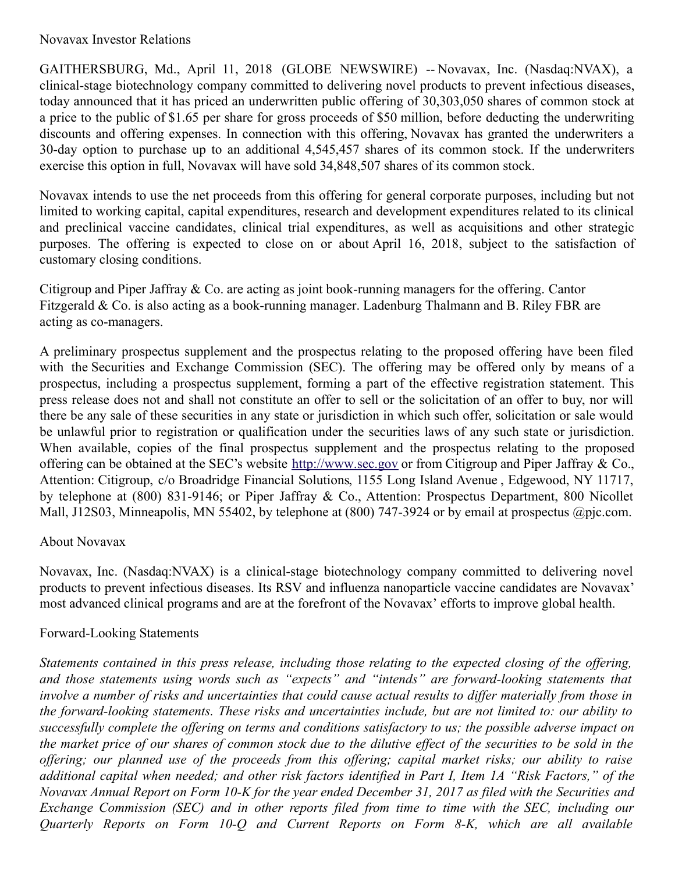## Novavax Investor Relations

GAITHERSBURG, Md., April 11, 2018 (GLOBE NEWSWIRE) -- Novavax, Inc. (Nasdaq:NVAX), a clinical-stage biotechnology company committed to delivering novel products to prevent infectious diseases, today announced that it has priced an underwritten public offering of 30,303,050 shares of common stock at a price to the public of \$1.65 per share for gross proceeds of \$50 million, before deducting the underwriting discounts and offering expenses. In connection with this offering, Novavax has granted the underwriters a 30-day option to purchase up to an additional 4,545,457 shares of its common stock. If the underwriters exercise this option in full, Novavax will have sold 34,848,507 shares of its common stock.

Novavax intends to use the net proceeds from this offering for general corporate purposes, including but not limited to working capital, capital expenditures, research and development expenditures related to its clinical and preclinical vaccine candidates, clinical trial expenditures, as well as acquisitions and other strategic purposes. The offering is expected to close on or about April 16, 2018, subject to the satisfaction of customary closing conditions.

Citigroup and Piper Jaffray & Co. are acting as joint book-running managers for the offering. Cantor Fitzgerald & Co. is also acting as a book-running manager. Ladenburg Thalmann and B. Riley FBR are acting as co-managers.

A preliminary prospectus supplement and the prospectus relating to the proposed offering have been filed with the Securities and Exchange Commission (SEC). The offering may be offered only by means of a prospectus, including a prospectus supplement, forming a part of the effective registration statement. This press release does not and shall not constitute an offer to sell or the solicitation of an offer to buy, nor will there be any sale of these securities in any state or jurisdiction in which such offer, solicitation or sale would be unlawful prior to registration or qualification under the securities laws of any such state or jurisdiction. When available, copies of the final prospectus supplement and the prospectus relating to the proposed offering can be obtained at the SEC's website [http://www.sec.gov](http://www.sec.gov/) or from Citigroup and Piper Jaffray & Co., Attention: Citigroup, c/o Broadridge Financial Solutions, 1155 Long Island Avenue , Edgewood, NY 11717, by telephone at (800) 831-9146; or Piper Jaffray & Co., Attention: Prospectus Department, 800 Nicollet Mall, J12S03, Minneapolis, MN 55402, by telephone at (800) 747-3924 or by email at prospectus @pjc.com.

## About Novavax

Novavax, Inc. (Nasdaq:NVAX) is a clinical-stage biotechnology company committed to delivering novel products to prevent infectious diseases. Its RSV and influenza nanoparticle vaccine candidates are Novavax' most advanced clinical programs and are at the forefront of the Novavax' efforts to improve global health.

## Forward-Looking Statements

Statements contained in this press release, including those relating to the expected closing of the offering, *and those statements using words such as "expects" and "intends" are forward-looking statements that* involve a number of risks and uncertainties that could cause actual results to differ materially from those in *the forward-looking statements. These risks and uncertainties include, but are not limited to: our ability to* successfully complete the offering on terms and conditions satisfactory to us; the possible adverse impact on the market price of our shares of common stock due to the dilutive effect of the securities to be sold in the offering; our planned use of the proceeds from this offering; capital market risks; our ability to raise additional capital when needed; and other risk factors identified in Part I, Item 1A "Risk Factors," of the Novavax Annual Report on Form 10-K for the year ended December 31, 2017 as filed with the Securities and *Exchange Commission (SEC) and in other reports filed from time to time with the SEC, including our Quarterly Reports on Form 10-Q and Current Reports on Form 8-K, which are all available*